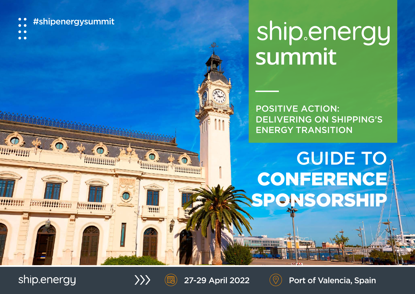- #shipenergysummit
- 
- $\bullet$   $\bullet$

# **summit**

POSITIVE ACTION: DELIVERING ON SHIPPING'S ENERGY TRANSITION

# GUIDE TO CONFERENCE SPONSORSHIP

ship.energy

minin éxamin<sub>an</sub>

**Januaria 15** 



199999

**MARITAL AND STATION** 





27-29 April 2022  $(\heartsuit)$  Port of Valencia, Spain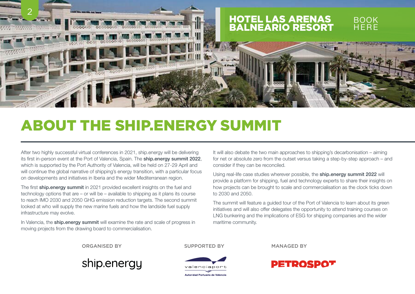

# ABOUT THE SHIP.ENERGY SUMMIT

After two highly successful virtual conferences in 2021, ship.energy will be delivering its first in-person event at the Port of Valencia, Spain. The ship.energy summit 2022, which is supported by the Port Authority of Valencia, will be held on 27-29 April and will continue the global narrative of shipping's energy transition, with a particular focus on developments and initiatives in Iberia and the wider Mediterranean region.

The first ship.energy summit in 2021 provided excellent insights on the fuel and technology options that are – or will be – available to shipping as it plans its course to reach IMO 2030 and 2050 GHG emission reduction targets. The second summit looked at who will supply the new marine fuels and how the landside fuel supply infrastructure may evolve.

In Valencia, the **ship.energy summit** will examine the rate and scale of progress in moving projects from the drawing board to commercialisation.

It will also debate the two main approaches to shipping's decarbonisation – aiming for net or absolute zero from the outset versus taking a step-by-step approach – and consider if they can be reconciled.

Using real-life case studies wherever possible, the ship.energy summit 2022 will provide a platform for shipping, fuel and technology experts to share their insights on how projects can be brought to scale and commercialisation as the clock ticks down to 2030 and 2050.

The summit will feature a guided tour of the Port of Valencia to learn about its green initiatives and will also offer delegates the opportunity to attend training courses on LNG bunkering and the implications of ESG for shipping companies and the wider maritime community.

ORGANISED BY SUPPORTED BY MANAGED BY





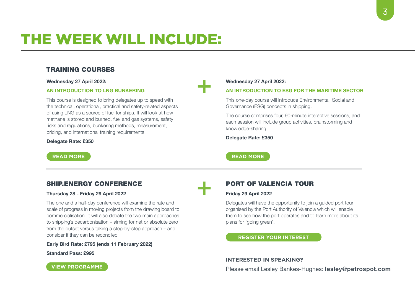# THE WEEK WILL INCLUDE:

## TRAINING COURSES

Wednesday 27 April 2022:

#### AN INTRODUCTION TO LNG BUNKERING

This course is designed to bring delegates up to speed with the technical, operational, practical and safety-related aspects of using LNG as a source of fuel for ships. It will look at how methane is stored and burned, fuel and gas systems, safety risks and regulations, bunkering methods, measurement, pricing, and international training requirements.

#### Delegate Rate: £350

#### Wednesday 27 April 2022:

#### AN INTRODUCTION TO ESG FOR THE MARITIME SECTOR

This one-day course will introduce Environmental, Social and Governance (ESG) concepts in shipping.

The course comprises four, 90-minute interactive sessions, and each session will include group activities, brainstorming and knowledge-sharing

Delegate Rate: £350

**[READ MORE](https://www.petrospot.com/events/ses-valencia22/programme/ses-valencia22-esg-maritime-sector) READ MORE** 

## SHIP.ENERGY CONFERENCE

#### Thursday 28 - Friday 29 April 2022

The one and a half-day conference will examine the rate and scale of progress in moving projects from the drawing board to commercialisation. It will also debate the two main approaches to shipping's decarbonisation – aiming for net or absolute zero from the outset versus taking a step-by-step approach – and consider if they can be reconciled

Early Bird Rate: £795 (ends 11 February 2022)

Standard Pass: £995

# PORT OF VALENCIA TOUR

#### Friday 29 April 2022

Delegates will have the opportunity to join a guided port tour organised by the Port Authority of Valencia which will enable them to see how the port operates and to learn more about its plans for 'going green'.

#### **[REGISTER YOUR INTEREST](mailto:events%40petrospot.com?subject=Port%20of%20Valencia%20Tour%20-%202022)**

#### **INTERESTED IN SPEAKING?**

Please email Lesley Bankes-Hughes: [lesley@petrospot.com](mailto:lesley%40petrospot.com?subject=ship.energy%20summit%20Speaking%20Ops)

**[VIEW PROGRAMME](https://www.petrospot.com/events/ses-valencia22/programme/ses-valencia22-programme)**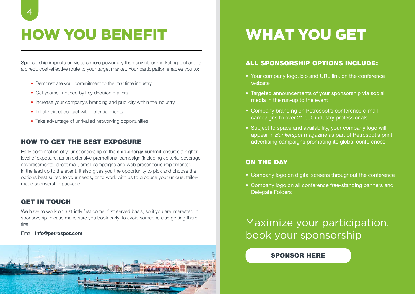# HOW YOU BENEFIT WHAT YOU GET

Sponsorship impacts on visitors more powerfully than any other marketing tool and is a direct, cost-effective route to your target market. Your participation enables you to:

- Demonstrate your commitment to the maritime industry
- Get yourself noticed by key decision makers
- Increase your company's branding and publicity within the industry
- Initiate direct contact with potential clients
- Take advantage of unrivalled networking opportunities.

## HOW TO GET THE BEST EXPOSURE

Early confirmation of your sponsorship of the **ship.energy summit** ensures a higher level of exposure, as an extensive promotional campaign (including editorial coverage, advertisements, direct mail, email campaigns and web presence) is implemented in the lead up to the event. It also gives you the opportunity to pick and choose the options best suited to your needs, or to work with us to produce your unique, tailormade sponsorship package.

## GET IN TOUCH

We have to work on a strictly first come, first served basis, so if you are interested in sponsorship, please make sure you book early, to avoid someone else getting there first!

#### Email: [info@petrospot.com](mailto:info@petrospot.com)



## ALL SPONSORSHIP OPTIONS INCLUDE:

- Your company logo, bio and URL link on the conference website
- Targeted announcements of your sponsorship via social media in the run-up to the event
- Company branding on Petrospot's conference e-mail campaigns to over 21,000 industry professionals
- Subject to space and availability, your company logo will appear in *Bunkerspot* magazine as part of Petrospot's print advertising campaigns promoting its global conferences

## ON THE DAY

- Company logo on digital screens throughout the conference
- Company logo on all conference free-standing banners and Delegate Folders

Maximize your participation, book your sponsorship

## [SPONSOR HERE](https://www.petrospot.com/events/ses-valencia22/sponsorevent)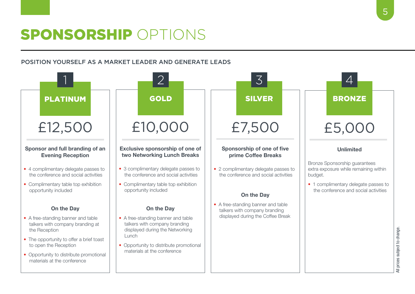# SPONSORSHIP OPTIONS

## POSITION YOURSELF AS A MARKET LEADER AND GENERATE LEADS

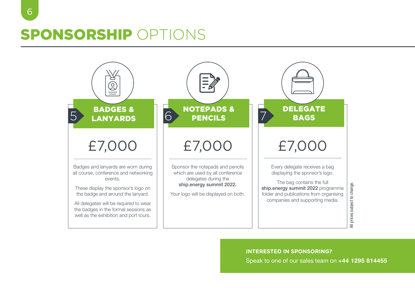# SPONSORSHIP OPTIONS



**INTERESTED IN SPONSORING?**

Speak to one of our sales team on +44 1295 814455